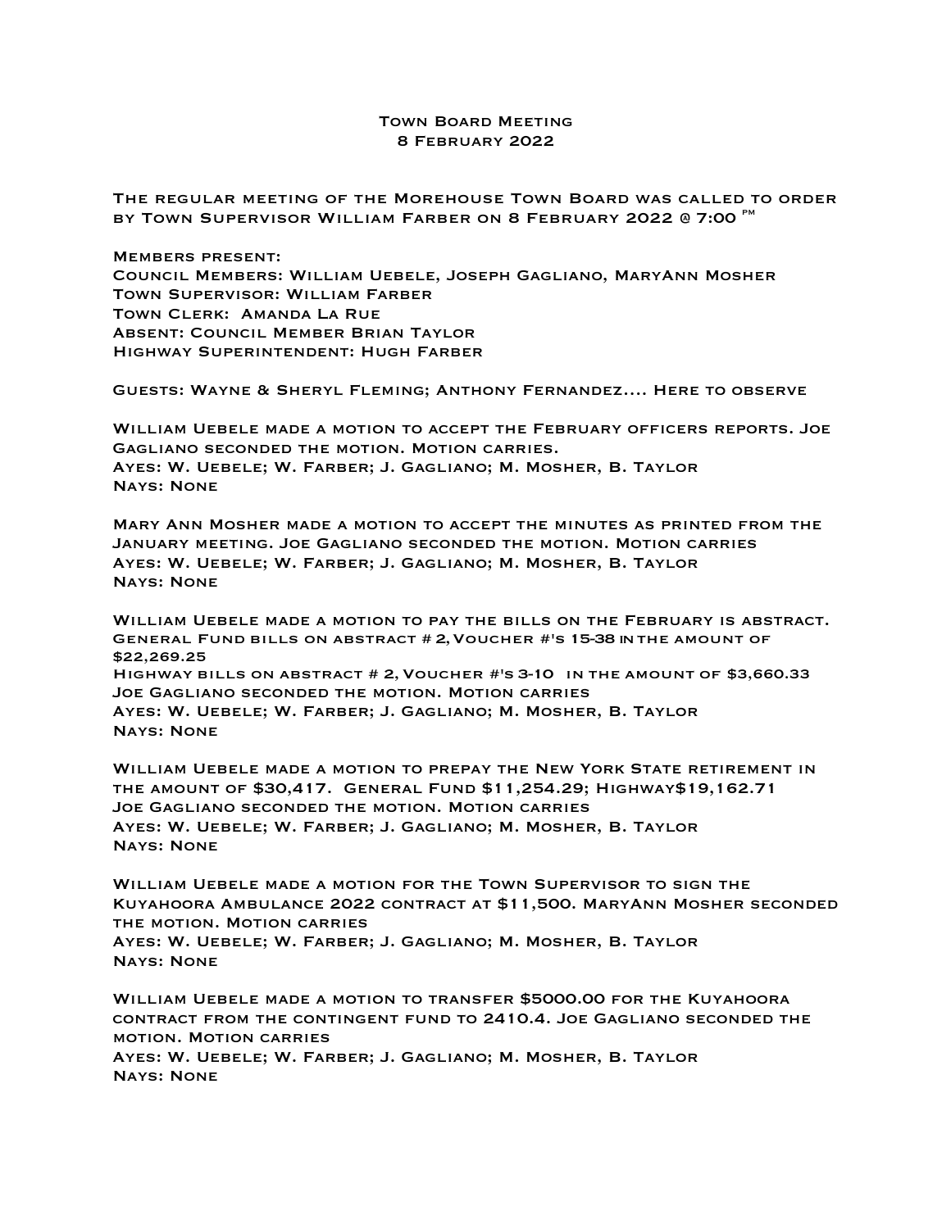## Town Board Meeting 8 February 2022

The regular meeting of the Morehouse Town Board was called to order BY TOWN SUPERVISOR WILLIAM FARBER ON 8 FEBRUARY 2022 @ 7:00 MM

Members present: Council Members: William Uebele, Joseph Gagliano, MaryAnn Mosher Town Supervisor: William Farber Town Clerk: Amanda La Rue Absent: Council Member Brian Taylor Highway Superintendent: Hugh Farber

Guests: Wayne & Sheryl Fleming; Anthony Fernandez…. Here to observe

William Uebele made a motion to accept the February officers reports. Joe Gagliano seconded the motion. Motion carries. Ayes: W. Uebele; W. Farber; J. Gagliano; M. Mosher, B. Taylor Nays: None

Mary Ann Mosher made a motion to accept the minutes as printed from the January meeting. Joe Gagliano seconded the motion. Motion carries Ayes: W. Uebele; W. Farber; J. Gagliano; M. Mosher, B. Taylor Nays: None

WILLIAM UEBELE MADE A MOTION TO PAY THE BILLS ON THE FEBRUARY IS ABSTRACT.<br>GENERAL FUND BILLS ON ABSTRACT # 2, VOUCHER #'S 15-38 INTHE AMOUNT OF \$22,269.25 Highway bills on abstract # 2,Voucher #'s 3-10 in the amount of \$3,660.33 Joe Gagliano seconded the motion. Motion carries Ayes: W. Uebele; W. Farber; J. Gagliano; M. Mosher, B. Taylor Nays: None

William Uebele made a motion to prepay the New York State retirement in the amount of \$30,417. General Fund \$11,254.29; Highway\$19,162.71 Joe Gagliano seconded the motion. Motion carries Ayes: W. Uebele; W. Farber; J. Gagliano; M. Mosher, B. Taylor Nays: None

William Uebele made a motion for the Town Supervisor to sign the Kuyahoora Ambulance 2022 contract at \$11,500. MaryAnn Mosher seconded the motion. Motion carries

Ayes: W. Uebele; W. Farber; J. Gagliano; M. Mosher, B. Taylor Nays: None

William Uebele made a motion to transfer \$5000.00 for the Kuyahoora contract from the contingent fund to 2410.4. Joe Gagliano seconded the motion. Motion carries

Ayes: W. Uebele; W. Farber; J. Gagliano; M. Mosher, B. Taylor Nays: None